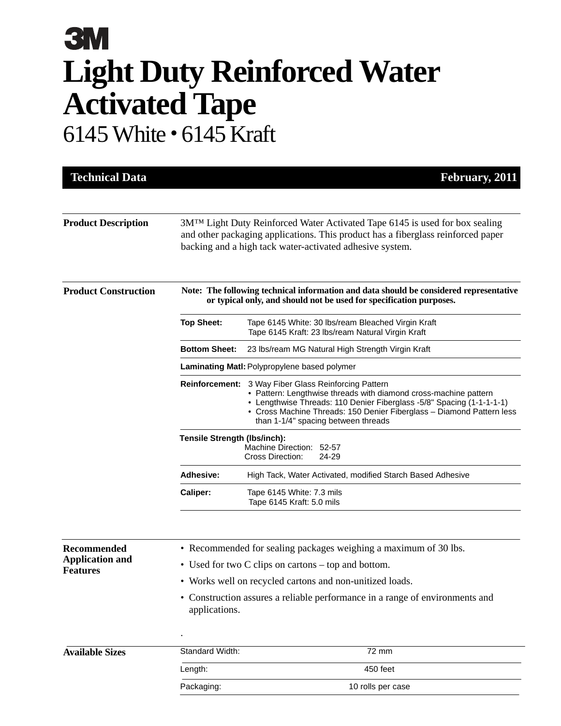## **3M Light Duty Reinforced Water Activated Tape** 6145 White • 6145 Kraft

| <b>Technical Data</b>                                           |                                                                                                                                                                                                                             | February, 2011                                                                                                                                                                                                                                                                                     |  |
|-----------------------------------------------------------------|-----------------------------------------------------------------------------------------------------------------------------------------------------------------------------------------------------------------------------|----------------------------------------------------------------------------------------------------------------------------------------------------------------------------------------------------------------------------------------------------------------------------------------------------|--|
| <b>Product Description</b>                                      | 3M™ Light Duty Reinforced Water Activated Tape 6145 is used for box sealing<br>and other packaging applications. This product has a fiberglass reinforced paper<br>backing and a high tack water-activated adhesive system. |                                                                                                                                                                                                                                                                                                    |  |
| <b>Product Construction</b>                                     | Note: The following technical information and data should be considered representative<br>or typical only, and should not be used for specification purposes.                                                               |                                                                                                                                                                                                                                                                                                    |  |
|                                                                 | <b>Top Sheet:</b>                                                                                                                                                                                                           | Tape 6145 White: 30 lbs/ream Bleached Virgin Kraft<br>Tape 6145 Kraft: 23 lbs/ream Natural Virgin Kraft                                                                                                                                                                                            |  |
|                                                                 | <b>Bottom Sheet:</b>                                                                                                                                                                                                        | 23 lbs/ream MG Natural High Strength Virgin Kraft                                                                                                                                                                                                                                                  |  |
|                                                                 | <b>Laminating Matl: Polypropylene based polymer</b>                                                                                                                                                                         |                                                                                                                                                                                                                                                                                                    |  |
|                                                                 | <b>Reinforcement:</b>                                                                                                                                                                                                       | 3 Way Fiber Glass Reinforcing Pattern<br>• Pattern: Lengthwise threads with diamond cross-machine pattern<br>• Lengthwise Threads: 110 Denier Fiberglass -5/8" Spacing (1-1-1-1-1)<br>• Cross Machine Threads: 150 Denier Fiberglass - Diamond Pattern less<br>than 1-1/4" spacing between threads |  |
|                                                                 | Tensile Strength (Ibs/inch):<br>Machine Direction: 52-57<br>Cross Direction:<br>24-29                                                                                                                                       |                                                                                                                                                                                                                                                                                                    |  |
|                                                                 | Adhesive:                                                                                                                                                                                                                   | High Tack, Water Activated, modified Starch Based Adhesive                                                                                                                                                                                                                                         |  |
|                                                                 | Caliper:                                                                                                                                                                                                                    | Tape 6145 White: 7.3 mils<br>Tape 6145 Kraft: 5.0 mils                                                                                                                                                                                                                                             |  |
| <b>Recommended</b><br><b>Application and</b><br><b>Features</b> |                                                                                                                                                                                                                             | • Recommended for sealing packages weighing a maximum of 30 lbs.                                                                                                                                                                                                                                   |  |
|                                                                 | • Used for two C clips on cartons – top and bottom.                                                                                                                                                                         |                                                                                                                                                                                                                                                                                                    |  |
|                                                                 | Works well on recycled cartons and non-unitized loads.                                                                                                                                                                      |                                                                                                                                                                                                                                                                                                    |  |
|                                                                 | applications.                                                                                                                                                                                                               | • Construction assures a reliable performance in a range of environments and                                                                                                                                                                                                                       |  |
|                                                                 |                                                                                                                                                                                                                             |                                                                                                                                                                                                                                                                                                    |  |
| <b>Available Sizes</b>                                          | Standard Width:                                                                                                                                                                                                             | 72 mm                                                                                                                                                                                                                                                                                              |  |
|                                                                 | Length:                                                                                                                                                                                                                     | 450 feet                                                                                                                                                                                                                                                                                           |  |
|                                                                 | Packaging:                                                                                                                                                                                                                  | 10 rolls per case                                                                                                                                                                                                                                                                                  |  |